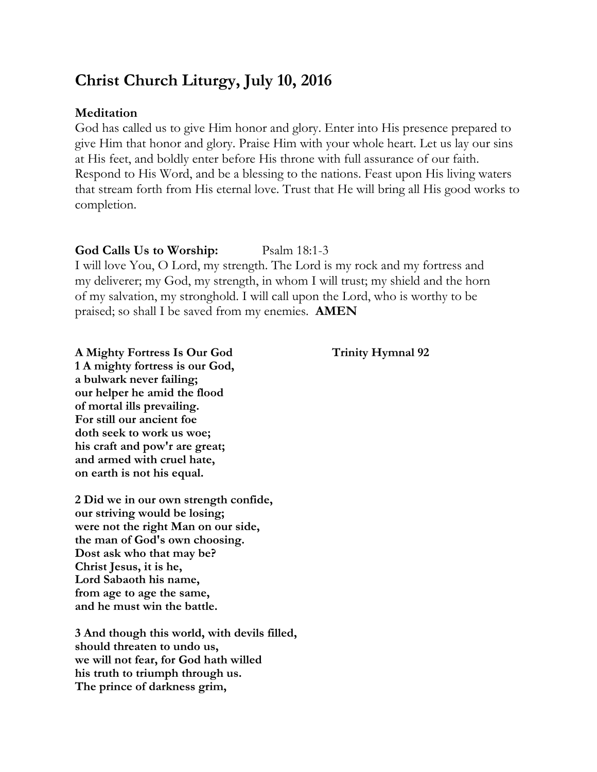# **Christ Church Liturgy, July 10, 2016**

# **Meditation**

God has called us to give Him honor and glory. Enter into His presence prepared to give Him that honor and glory. Praise Him with your whole heart. Let us lay our sins at His feet, and boldly enter before His throne with full assurance of our faith. Respond to His Word, and be a blessing to the nations. Feast upon His living waters that stream forth from His eternal love. Trust that He will bring all His good works to completion.

# **God Calls Us to Worship:** Psalm 18:1-3

I will love You, O Lord, my strength. The Lord is my rock and my fortress and my deliverer; my God, my strength, in whom I will trust; my shield and the horn of my salvation, my stronghold. I will call upon the Lord, who is worthy to be praised; so shall I be saved from my enemies. **AMEN**

# **A Mighty Fortress Is Our God Trinity Hymnal 92**

**1 A mighty fortress is our God, a bulwark never failing; our helper he amid the flood of mortal ills prevailing. For still our ancient foe doth seek to work us woe; his craft and pow'r are great; and armed with cruel hate, on earth is not his equal.**

**2 Did we in our own strength confide, our striving would be losing; were not the right Man on our side, the man of God's own choosing. Dost ask who that may be? Christ Jesus, it is he, Lord Sabaoth his name, from age to age the same, and he must win the battle.**

**3 And though this world, with devils filled, should threaten to undo us, we will not fear, for God hath willed his truth to triumph through us. The prince of darkness grim,**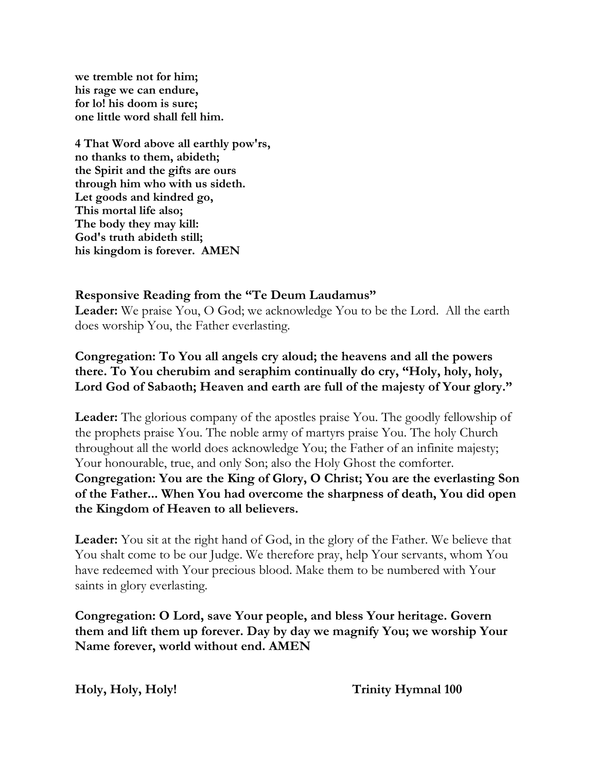**we tremble not for him; his rage we can endure, for lo! his doom is sure; one little word shall fell him.**

**4 That Word above all earthly pow'rs, no thanks to them, abideth; the Spirit and the gifts are ours through him who with us sideth. Let goods and kindred go, This mortal life also; The body they may kill: God's truth abideth still; his kingdom is forever. AMEN**

# **Responsive Reading from the "Te Deum Laudamus"**

**Leader:** We praise You, O God; we acknowledge You to be the Lord. All the earth does worship You, the Father everlasting.

# **Congregation: To You all angels cry aloud; the heavens and all the powers there. To You cherubim and seraphim continually do cry, "Holy, holy, holy, Lord God of Sabaoth; Heaven and earth are full of the majesty of Your glory."**

**Leader:** The glorious company of the apostles praise You. The goodly fellowship of the prophets praise You. The noble army of martyrs praise You. The holy Church throughout all the world does acknowledge You; the Father of an infinite majesty; Your honourable, true, and only Son; also the Holy Ghost the comforter. **Congregation: You are the King of Glory, O Christ; You are the everlasting Son of the Father... When You had overcome the sharpness of death, You did open the Kingdom of Heaven to all believers.**

**Leader:** You sit at the right hand of God, in the glory of the Father. We believe that You shalt come to be our Judge. We therefore pray, help Your servants, whom You have redeemed with Your precious blood. Make them to be numbered with Your saints in glory everlasting.

**Congregation: O Lord, save Your people, and bless Your heritage. Govern them and lift them up forever. Day by day we magnify You; we worship Your Name forever, world without end. AMEN**

**Holy, Holy, Holy! Trinity Hymnal 100**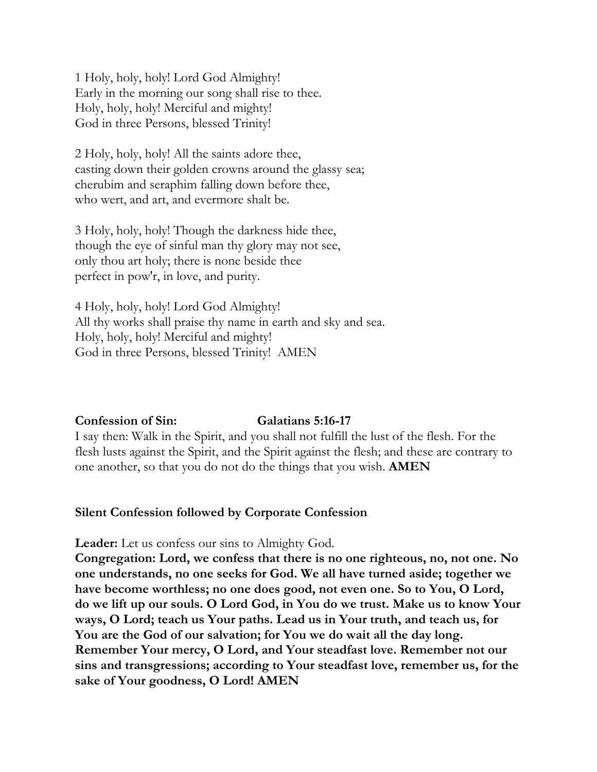1 Holy, holy, holy! Lord God Almighty! Early in the morning our song shall rise to thee. Holy, holy, holy! Merciful and mighty! God in three Persons, blessed Trinity!

2 Holy, holy, holy! All the saints adore thee, casting down their golden crowns around the glassy sea; cherubim and seraphim falling down before thee, who wert, and art, and evermore shalt be.

3 Holy, holy, holy! Though the darkness hide thee, though the eye of sinful man thy glory may not see, only thou art holy; there is none beside thee perfect in pow'r, in love, and purity.

4 Holy, holy, holy! Lord God Almighty! All thy works shall praise thy name in earth and sky and sea. Holy, holy, holy! Merciful and mighty! God in three Persons, blessed Trinity! AMEN

### **Confession of Sin: Galatians 5:16-17**

I say then: Walk in the Spirit, and you shall not fulfill the lust of the flesh. For the flesh lusts against the Spirit, and the Spirit against the flesh; and these are contrary to one another, so that you do not do the things that you wish. **AMEN**

# **Silent Confession followed by Corporate Confession**

**Leader:** Let us confess our sins to Almighty God.

**Congregation: Lord, we confess that there is no one righteous, no, not one. No one understands, no one seeks for God. We all have turned aside; together we have become worthless; no one does good, not even one. So to You, O Lord, do we lift up our souls. O Lord God, in You do we trust. Make us to know Your ways, O Lord; teach us Your paths. Lead us in Your truth, and teach us, for You are the God of our salvation; for You we do wait all the day long. Remember Your mercy, O Lord, and Your steadfast love. Remember not our sins and transgressions; according to Your steadfast love, remember us, for the sake of Your goodness, O Lord! AMEN**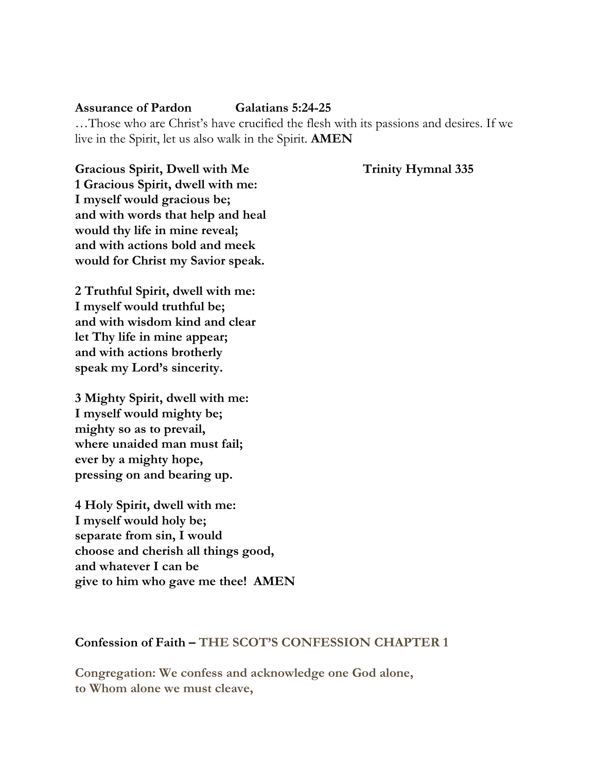### **Assurance of Pardon Galatians 5:24-25**

…Those who are Christ's have crucified the flesh with its passions and desires. If we live in the Spirit, let us also walk in the Spirit. **AMEN** 

Gracious Spirit, Dwell with Me Trinity Hymnal 335 **1 Gracious Spirit, dwell with me: I myself would gracious be; and with words that help and heal would thy life in mine reveal; and with actions bold and meek would for Christ my Savior speak.**

**2 Truthful Spirit, dwell with me: I myself would truthful be; and with wisdom kind and clear let Thy life in mine appear; and with actions brotherly speak my Lord's sincerity.**

**3 Mighty Spirit, dwell with me: I myself would mighty be; mighty so as to prevail, where unaided man must fail; ever by a mighty hope, pressing on and bearing up.**

**4 Holy Spirit, dwell with me: I myself would holy be; separate from sin, I would choose and cherish all things good, and whatever I can be give to him who gave me thee! AMEN**

### **Confession of Faith – THE SCOT'S CONFESSION CHAPTER 1**

**Congregation: We confess and acknowledge one God alone, to Whom alone we must cleave,**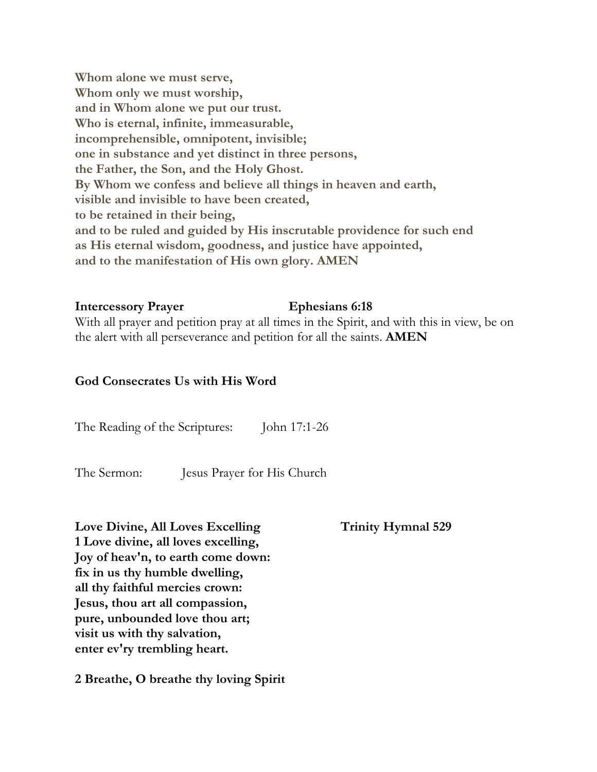**Whom alone we must serve, Whom only we must worship, and in Whom alone we put our trust. Who is eternal, infinite, immeasurable, incomprehensible, omnipotent, invisible; one in substance and yet distinct in three persons, the Father, the Son, and the Holy Ghost. By Whom we confess and believe all things in heaven and earth, visible and invisible to have been created, to be retained in their being, and to be ruled and guided by His inscrutable providence for such end as His eternal wisdom, goodness, and justice have appointed, and to the manifestation of His own glory. AMEN** 

#### **Intercessory Prayer Ephesians 6:18**

With all prayer and petition pray at all times in the Spirit, and with this in view, be on the alert with all perseverance and petition for all the saints. **AMEN**

### **God Consecrates Us with His Word**

The Reading of the Scriptures: John 17:1-26

The Sermon: Jesus Prayer for His Church

Love Divine, All Loves Excelling Trinity Hymnal 529 **1 Love divine, all loves excelling, Joy of heav'n, to earth come down: fix in us thy humble dwelling, all thy faithful mercies crown: Jesus, thou art all compassion, pure, unbounded love thou art; visit us with thy salvation, enter ev'ry trembling heart.**

**2 Breathe, O breathe thy loving Spirit**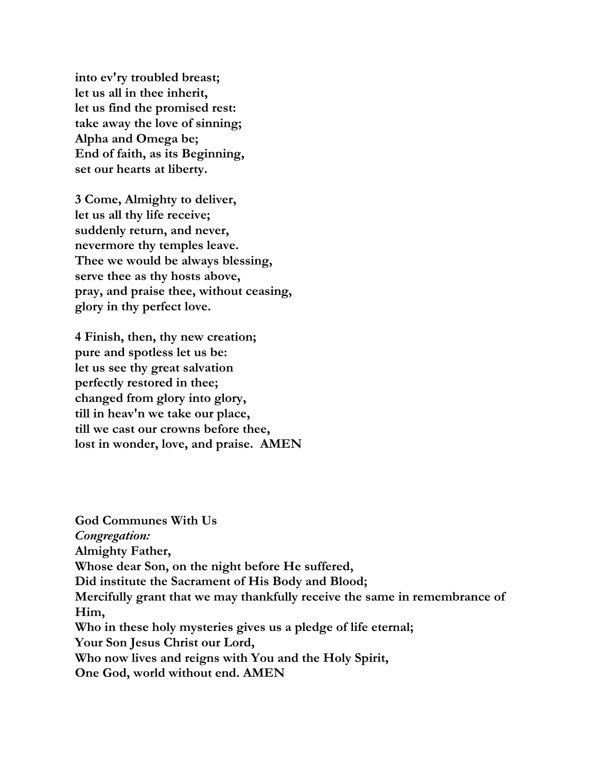**into ev'ry troubled breast; let us all in thee inherit, let us find the promised rest: take away the love of sinning; Alpha and Omega be; End of faith, as its Beginning, set our hearts at liberty.**

**3 Come, Almighty to deliver, let us all thy life receive; suddenly return, and never, nevermore thy temples leave. Thee we would be always blessing, serve thee as thy hosts above, pray, and praise thee, without ceasing, glory in thy perfect love.**

**4 Finish, then, thy new creation; pure and spotless let us be: let us see thy great salvation perfectly restored in thee; changed from glory into glory, till in heav'n we take our place, till we cast our crowns before thee, lost in wonder, love, and praise. AMEN**

**God Communes With Us** *Congregation:*  **Almighty Father, Whose dear Son, on the night before He suffered, Did institute the Sacrament of His Body and Blood; Mercifully grant that we may thankfully receive the same in remembrance of Him, Who in these holy mysteries gives us a pledge of life eternal; Your Son Jesus Christ our Lord, Who now lives and reigns with You and the Holy Spirit, One God, world without end. AMEN**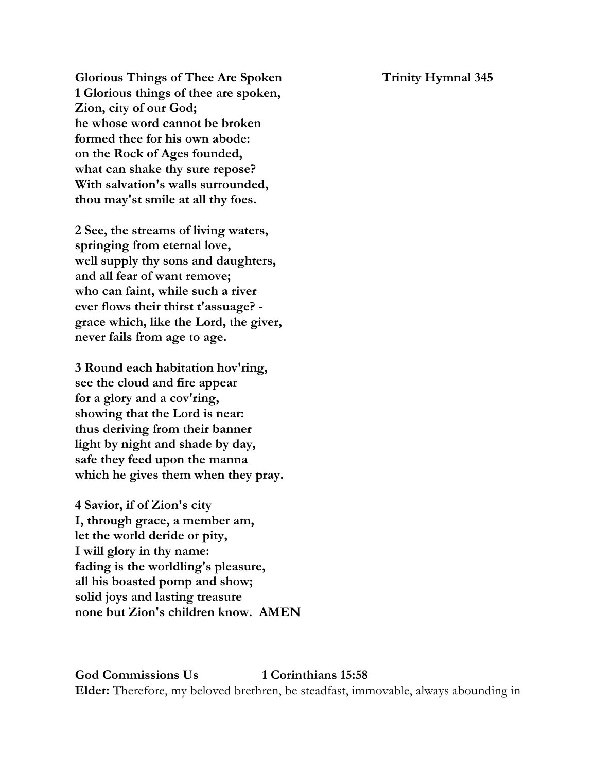Glorious Things of Thee Are Spoken Trinity Hymnal 345 **1 Glorious things of thee are spoken, Zion, city of our God; he whose word cannot be broken formed thee for his own abode: on the Rock of Ages founded, what can shake thy sure repose? With salvation's walls surrounded, thou may'st smile at all thy foes.**

**2 See, the streams of living waters, springing from eternal love, well supply thy sons and daughters, and all fear of want remove; who can faint, while such a river ever flows their thirst t'assuage? grace which, like the Lord, the giver, never fails from age to age.**

**3 Round each habitation hov'ring, see the cloud and fire appear for a glory and a cov'ring, showing that the Lord is near: thus deriving from their banner light by night and shade by day, safe they feed upon the manna which he gives them when they pray.**

**4 Savior, if of Zion's city I, through grace, a member am, let the world deride or pity, I will glory in thy name: fading is the worldling's pleasure, all his boasted pomp and show; solid joys and lasting treasure none but Zion's children know. AMEN**

**God Commissions Us 1 Corinthians 15:58 Elder:** Therefore, my beloved brethren, be steadfast, immovable, always abounding in